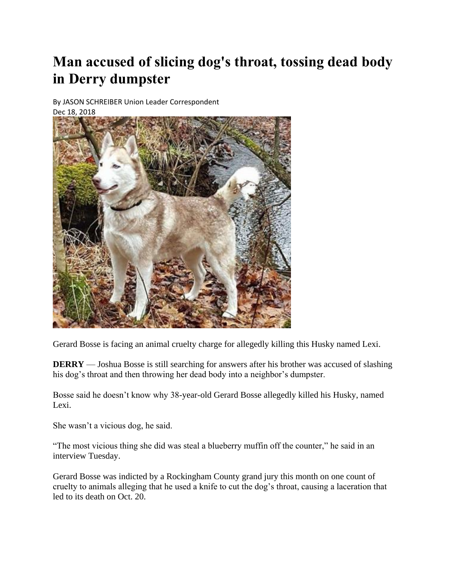## **Man accused of slicing dog's throat, tossing dead body in Derry dumpster**

By JASON SCHREIBER Union Leader Correspondent

Dec 18, 2018



Gerard Bosse is facing an animal cruelty charge for allegedly killing this Husky named Lexi.

**DERRY** — Joshua Bosse is still searching for answers after his brother was accused of slashing his dog's throat and then throwing her dead body into a neighbor's dumpster.

Bosse said he doesn't know why 38-year-old Gerard Bosse allegedly killed his Husky, named Lexi.

She wasn't a vicious dog, he said.

"The most vicious thing she did was steal a blueberry muffin off the counter," he said in an interview Tuesday.

Gerard Bosse was indicted by a Rockingham County grand jury this month on one count of cruelty to animals alleging that he used a knife to cut the dog's throat, causing a laceration that led to its death on Oct. 20.